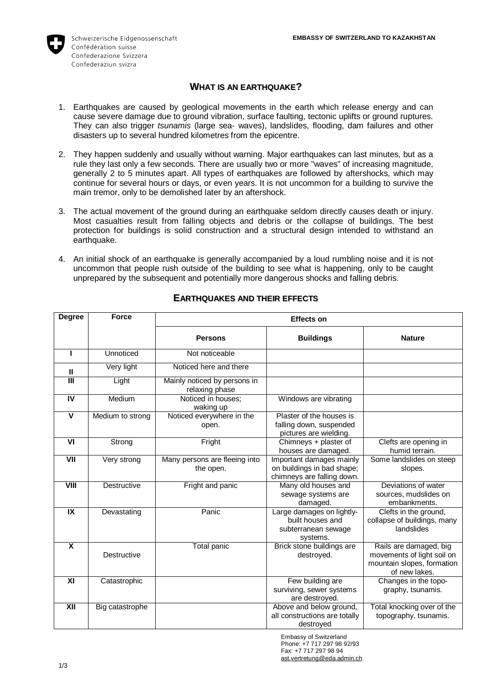

# **WHAT IS AN EARTHQUAKE?**

- 1. Earthquakes are caused by geological movements in the earth which release energy and can cause severe damage due to ground vibration, surface faulting, tectonic uplifts or ground ruptures. They can also trigger *tsunamis* (large sea- waves), landslides, flooding, dam failures and other disasters up to several hundred kilometres from the epicentre.
- 2. They happen suddenly and usually without warning. Major earthquakes can last minutes, but as a rule they last only a few seconds. There are usually two or more "waves" of increasing magnitude, generally 2 to 5 minutes apart. All types of earthquakes are followed by aftershocks, which may continue for several hours or days, or even years. It is not uncommon for a building to survive the main tremor, only to be demolished later by an aftershock.
- 3. The actual movement of the ground during an earthquake seldom directly causes death or injury. Most casualties result from falling objects and debris or the collapse of buildings. The best protection for buildings is solid construction and a structural design intended to withstand an earthquake.
- 4. An initial shock of an earthquake is generally accompanied by a loud rumbling noise and it is not uncommon that people rush outside of the building to see what is happening, only to be caught unprepared by the subsequent and potentially more dangerous shocks and falling debris.

| <b>Degree</b>           | <b>Force</b>       | <b>Effects on</b>                              |                                                                                      |                                                                                                     |
|-------------------------|--------------------|------------------------------------------------|--------------------------------------------------------------------------------------|-----------------------------------------------------------------------------------------------------|
|                         |                    | <b>Persons</b>                                 | <b>Buildings</b>                                                                     | <b>Nature</b>                                                                                       |
| ı                       | Unnoticed          | Not noticeable                                 |                                                                                      |                                                                                                     |
| $\mathbf{H}$            | Very light         | Noticed here and there                         |                                                                                      |                                                                                                     |
| $\overline{\mathsf{I}}$ | Light              | Mainly noticed by persons in<br>relaxing phase |                                                                                      |                                                                                                     |
| $\overline{N}$          | Medium             | Noticed in houses:<br>waking up                | Windows are vibrating                                                                |                                                                                                     |
| $\overline{\mathsf{v}}$ | Medium to strong   | Noticed everywhere in the<br>open.             | Plaster of the houses is<br>falling down, suspended<br>pictures are wielding.        |                                                                                                     |
| VI                      | Strong             | Fright                                         | Chimneys + plaster of<br>houses are damaged.                                         | Clefts are opening in<br>humid terrain.                                                             |
| $\overline{V}$          | Very strong        | Many persons are fleeing into<br>the open.     | Important damages mainly<br>on buildings in bad shape;<br>chimneys are falling down. | Some landslides on steep<br>slopes.                                                                 |
| VIII                    | <b>Destructive</b> | Fright and panic                               | Many old houses and<br>sewage systems are<br>damaged.                                | Deviations of water<br>sources, mudslides on<br>embankments.                                        |
| IX                      | Devastating        | Panic                                          | Large damages on lightly-<br>built houses and<br>subterranean sewage<br>systems.     | Clefts in the ground,<br>collapse of buildings, many<br>landslides                                  |
| X                       | <b>Destructive</b> | Total panic                                    | Brick stone buildings are<br>destroved.                                              | Rails are damaged, big<br>movements of light soil on<br>mountain slopes, formation<br>of new lakes. |
| XI                      | Catastrophic       |                                                | Few building are<br>surviving, sewer systems<br>are destroyed.                       | Changes in the topo-<br>graphy, tsunamis.                                                           |
| XII                     | Big catastrophe    |                                                | Above and below ground,<br>all constructions are totally<br>destroyed                | Total knocking over of the<br>topography, tsunamis.                                                 |

# **EARTHQUAKES AND THEIR EFFECTS**

Embassy of Switzerland Phone: +7 717 297 98 92/93 Fax: +7 717 297 98 94 [ast.vertretung@eda.admin.ch](mailto:ast.vertretung@eda.admin.ch)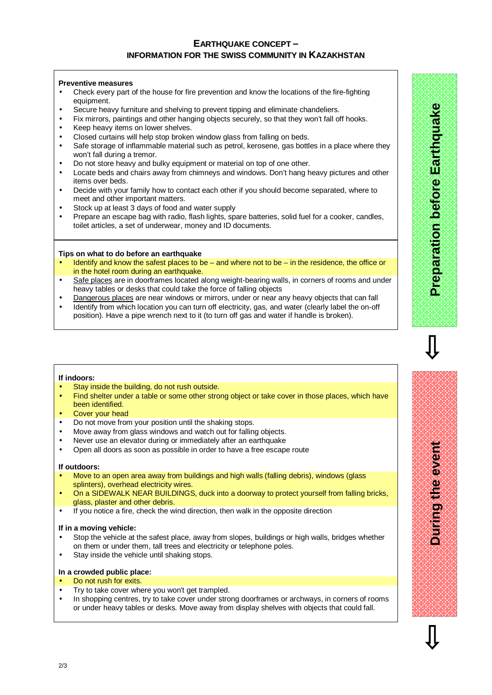## **EARTHQUAKE CONCEPT – INFORMATION FOR THE SWISS COMMUNITY IN KAZAKHSTAN**

#### **Preventive measures**

- Check every part of the house for fire prevention and know the locations of the fire-fighting equipment.
- Secure heavy furniture and shelving to prevent tipping and eliminate chandeliers.
- Fix mirrors, paintings and other hanging objects securely, so that they won't fall off hooks.
- Keep heavy items on lower shelves.
- Closed curtains will help stop broken window glass from falling on beds.
- Safe storage of inflammable material such as petrol, kerosene, gas bottles in a place where they won't fall during a tremor.
- Do not store heavy and bulky equipment or material on top of one other.
- Locate beds and chairs away from chimneys and windows. Don't hang heavy pictures and other items over beds.
- Decide with your family how to contact each other if you should become separated, where to meet and other important matters.
- Stock up at least 3 days of food and water supply
- Prepare an escape bag with radio, flash lights, spare batteries, solid fuel for a cooker, candles, toilet articles, a set of underwear, money and ID documents.

#### **Tips on what to do before an earthquake**

- Identify and know the safest places to be and where not to be in the residence, the office or in the hotel room during an earthquake.
- Safe places are in doorframes located along weight-bearing walls, in corners of rooms and under heavy tables or desks that could take the force of falling objects
- Dangerous places are near windows or mirrors, under or near any heavy objects that can fall
- Identify from which location you can turn off electricity, gas, and water (clearly label the on-off position). Have a pipe wrench next to it (to turn off gas and water if handle is broken).

#### **If indoors:**

- Stay inside the building, do not rush outside.
- Find shelter under a table or some other strong object or take cover in those places, which have been identified.
- Cover your head
- Do not move from your position until the shaking stops.
- Move away from glass windows and watch out for falling objects.
- Never use an elevator during or immediately after an earthquake
- Open all doors as soon as possible in order to have a free escape route

#### **If outdoors:**

- Move to an open area away from buildings and high walls (falling debris), windows (glass splinters), overhead electricity wires.
- On a SIDEWALK NEAR BUILDINGS, duck into a doorway to protect yourself from falling bricks, glass, plaster and other debris.
- If you notice a fire, check the wind direction, then walk in the opposite direction

#### **If in a moving vehicle:**

- Stop the vehicle at the safest place, away from slopes, buildings or high walls, bridges whether on them or under them, tall trees and electricity or telephone poles.
- Stay inside the vehicle until shaking stops.

#### **In a crowded public place:**

- Do not rush for exits.
- Try to take cover where you won't get trampled.
- In shopping centres, try to take cover under strong doorframes or archways, in corners of rooms or under heavy tables or desks. Move away from display shelves with objects that could fall.

**Durin gtheevent**